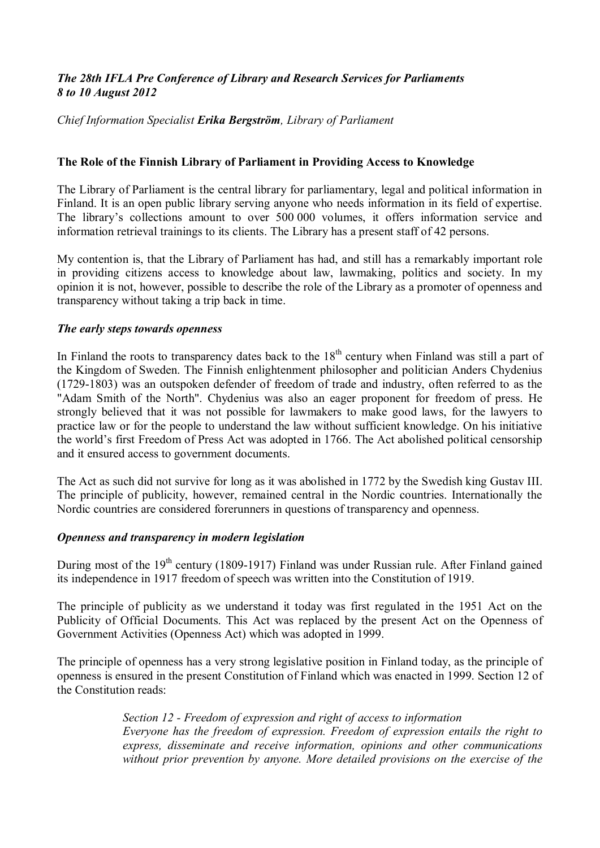# *The 28th IFLA Pre Conference of Library and Research Services for Parliaments 8 to 10 August 2012*

*Chief Information Specialist Erika Bergström, Library of Parliament* 

### **The Role of the Finnish Library of Parliament in Providing Access to Knowledge**

The Library of Parliament is the central library for parliamentary, legal and political information in Finland. It is an open public library serving anyone who needs information in its field of expertise. The library's collections amount to over 500 000 volumes, it offers information service and information retrieval trainings to its clients. The Library has a present staff of 42 persons.

My contention is, that the Library of Parliament has had, and still has a remarkably important role in providing citizens access to knowledge about law, lawmaking, politics and society. In my opinion it is not, however, possible to describe the role of the Library as a promoter of openness and transparency without taking a trip back in time.

### *The early steps towards openness*

In Finland the roots to transparency dates back to the  $18<sup>th</sup>$  century when Finland was still a part of the Kingdom of Sweden. The Finnish enlightenment philosopher and politician Anders Chydenius (1729-1803) was an outspoken defender of freedom of trade and industry, often referred to as the "Adam Smith of the North". Chydenius was also an eager proponent for freedom of press. He strongly believed that it was not possible for lawmakers to make good laws, for the lawyers to practice law or for the people to understand the law without sufficient knowledge. On his initiative the world's first Freedom of Press Act was adopted in 1766. The Act abolished political censorship and it ensured access to government documents.

The Act as such did not survive for long as it was abolished in 1772 by the Swedish king Gustav III. The principle of publicity, however, remained central in the Nordic countries. Internationally the Nordic countries are considered forerunners in questions of transparency and openness.

### *Openness and transparency in modern legislation*

During most of the 19<sup>th</sup> century (1809-1917) Finland was under Russian rule. After Finland gained its independence in 1917 freedom of speech was written into the Constitution of 1919.

The principle of publicity as we understand it today was first regulated in the 1951 Act on the Publicity of Official Documents. This Act was replaced by the present Act on the Openness of Government Activities (Openness Act) which was adopted in 1999.

The principle of openness has a very strong legislative position in Finland today, as the principle of openness is ensured in the present Constitution of Finland which was enacted in 1999. Section 12 of the Constitution reads:

> *Section 12 - Freedom of expression and right of access to information Everyone has the freedom of expression. Freedom of expression entails the right to express, disseminate and receive information, opinions and other communications without prior prevention by anyone. More detailed provisions on the exercise of the*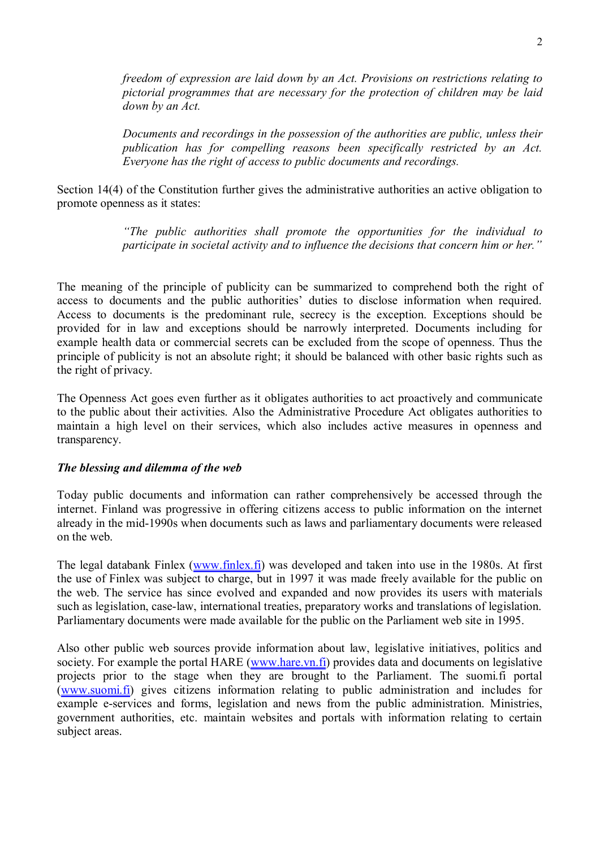*freedom of expression are laid down by an Act. Provisions on restrictions relating to pictorial programmes that are necessary for the protection of children may be laid down by an Act.* 

*Documents and recordings in the possession of the authorities are public, unless their publication has for compelling reasons been specifically restricted by an Act. Everyone has the right of access to public documents and recordings.* 

Section 14(4) of the Constitution further gives the administrative authorities an active obligation to promote openness as it states:

> *"The public authorities shall promote the opportunities for the individual to participate in societal activity and to influence the decisions that concern him or her."*

The meaning of the principle of publicity can be summarized to comprehend both the right of access to documents and the public authorities' duties to disclose information when required. Access to documents is the predominant rule, secrecy is the exception. Exceptions should be provided for in law and exceptions should be narrowly interpreted. Documents including for example health data or commercial secrets can be excluded from the scope of openness. Thus the principle of publicity is not an absolute right; it should be balanced with other basic rights such as the right of privacy.

The Openness Act goes even further as it obligates authorities to act proactively and communicate to the public about their activities. Also the Administrative Procedure Act obligates authorities to maintain a high level on their services, which also includes active measures in openness and transparency.

### *The blessing and dilemma of the web*

Today public documents and information can rather comprehensively be accessed through the internet. Finland was progressive in offering citizens access to public information on the internet already in the mid-1990s when documents such as laws and parliamentary documents were released on the web.

The legal databank Finlex ([www.finlex.fi\)](http://www.finlex.fi/) was developed and taken into use in the 1980s. At first the use of Finlex was subject to charge, but in 1997 it was made freely available for the public on the web. The service has since evolved and expanded and now provides its users with materials such as legislation, case-law, international treaties, preparatory works and translations of legislation. Parliamentary documents were made available for the public on the Parliament web site in 1995.

Also other public web sources provide information about law, legislative initiatives, politics and society. For example the portal HARE ([www.hare.vn.fi](http://www.hare.vn.fi/)) provides data and documents on legislative projects prior to the stage when they are brought to the Parliament. The suomi.fi portal ([www.suomi.fi\)](http://www.suomi.fi/) gives citizens information relating to public administration and includes for example e-services and forms, legislation and news from the public administration. Ministries, government authorities, etc. maintain websites and portals with information relating to certain subject areas.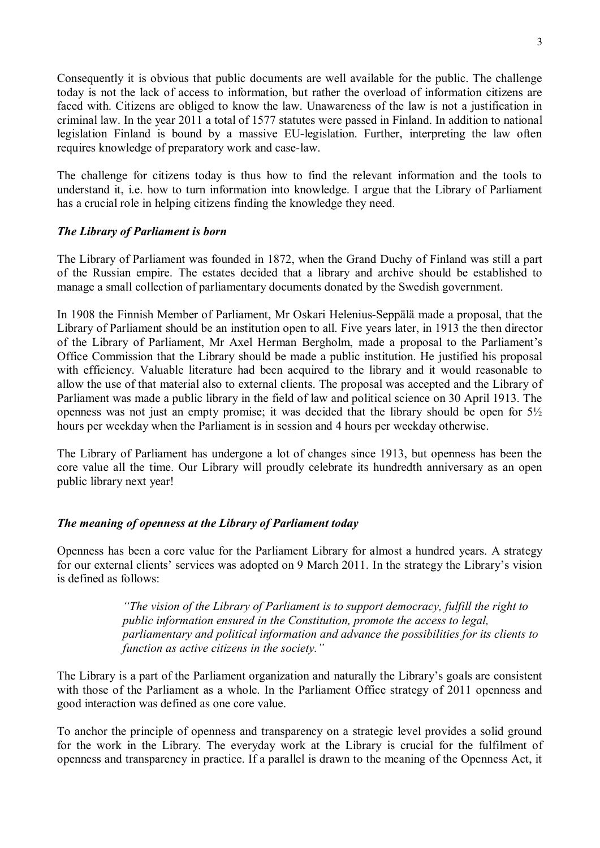Consequently it is obvious that public documents are well available for the public. The challenge today is not the lack of access to information, but rather the overload of information citizens are faced with. Citizens are obliged to know the law. Unawareness of the law is not a justification in criminal law. In the year 2011 a total of 1577 statutes were passed in Finland. In addition to national legislation Finland is bound by a massive EU-legislation. Further, interpreting the law often requires knowledge of preparatory work and case-law.

The challenge for citizens today is thus how to find the relevant information and the tools to understand it, i.e. how to turn information into knowledge. I argue that the Library of Parliament has a crucial role in helping citizens finding the knowledge they need.

## *The Library of Parliament is born*

The Library of Parliament was founded in 1872, when the Grand Duchy of Finland was still a part of the Russian empire. The estates decided that a library and archive should be established to manage a small collection of parliamentary documents donated by the Swedish government.

In 1908 the Finnish Member of Parliament, Mr Oskari Helenius-Seppälä made a proposal, that the Library of Parliament should be an institution open to all. Five years later, in 1913 the then director of the Library of Parliament, Mr Axel Herman Bergholm, made a proposal to the Parliament's Office Commission that the Library should be made a public institution. He justified his proposal with efficiency. Valuable literature had been acquired to the library and it would reasonable to allow the use of that material also to external clients. The proposal was accepted and the Library of Parliament was made a public library in the field of law and political science on 30 April 1913. The openness was not just an empty promise; it was decided that the library should be open for 5½ hours per weekday when the Parliament is in session and 4 hours per weekday otherwise.

The Library of Parliament has undergone a lot of changes since 1913, but openness has been the core value all the time. Our Library will proudly celebrate its hundredth anniversary as an open public library next year!

## *The meaning of openness at the Library of Parliament today*

Openness has been a core value for the Parliament Library for almost a hundred years. A strategy for our external clients' services was adopted on 9 March 2011. In the strategy the Library's vision is defined as follows:

> *"The vision of the Library of Parliament is to support democracy, fulfill the right to public information ensured in the Constitution, promote the access to legal, parliamentary and political information and advance the possibilities for its clients to function as active citizens in the society."*

The Library is a part of the Parliament organization and naturally the Library's goals are consistent with those of the Parliament as a whole. In the Parliament Office strategy of 2011 openness and good interaction was defined as one core value.

To anchor the principle of openness and transparency on a strategic level provides a solid ground for the work in the Library. The everyday work at the Library is crucial for the fulfilment of openness and transparency in practice. If a parallel is drawn to the meaning of the Openness Act, it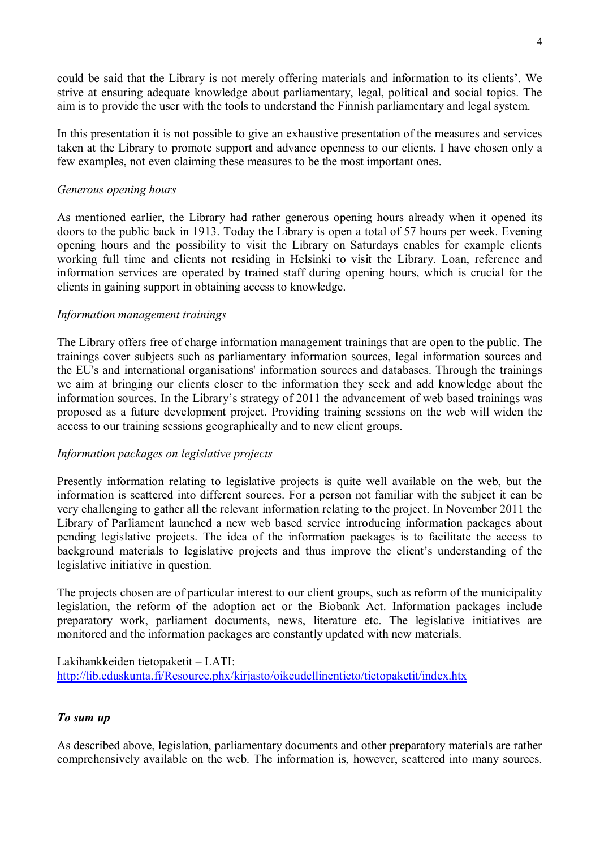could be said that the Library is not merely offering materials and information to its clients'. We strive at ensuring adequate knowledge about parliamentary, legal, political and social topics. The aim is to provide the user with the tools to understand the Finnish parliamentary and legal system.

In this presentation it is not possible to give an exhaustive presentation of the measures and services taken at the Library to promote support and advance openness to our clients. I have chosen only a few examples, not even claiming these measures to be the most important ones.

### *Generous opening hours*

As mentioned earlier, the Library had rather generous opening hours already when it opened its doors to the public back in 1913. Today the Library is open a total of 57 hours per week. Evening opening hours and the possibility to visit the Library on Saturdays enables for example clients working full time and clients not residing in Helsinki to visit the Library. Loan, reference and information services are operated by trained staff during opening hours, which is crucial for the clients in gaining support in obtaining access to knowledge.

### *Information management trainings*

The Library offers free of charge information management trainings that are open to the public. The trainings cover subjects such as parliamentary information sources, legal information sources and the EU's and international organisations' information sources and databases. Through the trainings we aim at bringing our clients closer to the information they seek and add knowledge about the information sources. In the Library's strategy of 2011 the advancement of web based trainings was proposed as a future development project. Providing training sessions on the web will widen the access to our training sessions geographically and to new client groups.

### *Information packages on legislative projects*

Presently information relating to legislative projects is quite well available on the web, but the information is scattered into different sources. For a person not familiar with the subject it can be very challenging to gather all the relevant information relating to the project. In November 2011 the Library of Parliament launched a new web based service introducing information packages about pending legislative projects. The idea of the information packages is to facilitate the access to background materials to legislative projects and thus improve the client's understanding of the legislative initiative in question.

The projects chosen are of particular interest to our client groups, such as reform of the municipality legislation, the reform of the adoption act or the Biobank Act. Information packages include preparatory work, parliament documents, news, literature etc. The legislative initiatives are monitored and the information packages are constantly updated with new materials.

Lakihankkeiden tietopaketit – LATI: <http://lib.eduskunta.fi/Resource.phx/kirjasto/oikeudellinentieto/tietopaketit/index.htx>

### *To sum up*

As described above, legislation, parliamentary documents and other preparatory materials are rather comprehensively available on the web. The information is, however, scattered into many sources.